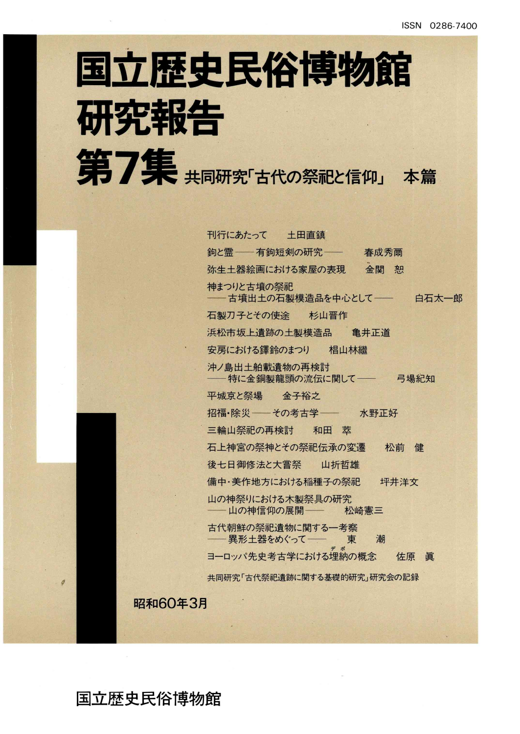1

 $\frac{1}{2}$ 

# 国立歴史民俗博物館 研究報告 第7集 共同研究「古代の祭祀と信仰」 本篇

刊行にあたって 土田直鎮 約と霊 -- 有鉤短剣の研究 -- 春成秀蘭 弥生土器絵画における家屋の表現 金関 恕 神まつりと古墳の祭祀 -- 古墳出土の石製模造品を中心として--石製刀子とその使途 杉山晋作 浜松市坂上遺跡の土製模造品 亀井正道 安房における鐸鈴のまつり 相山林繼 沖ノ島出土舶載遺物の再検討 ―― 特に金銅製龍頭の流伝に関して―― ― ら場紀知 平城京と祭場 金子裕之 招福・除災 –– その考古学 –– 水野正好 三輪山祭祀の再検討 和田 葦 白石太一郎 石上神宮の祭神とその祭祀伝承の変遷 松前 健 後七日御修法と大嘗祭 山折哲雄 備中・美作地方における稲種子の祭祀 坪井洋文 山の神祭りにおける木製祭具の研究 -- 山の神信仰の展開 -- 松崎憲三 古代朝鮮の祭祀遺物に関する一考察 - 異形土器をめぐって -- 東 潮 ヨーロッパ先史考古学における埋納の概念 佐原 眞 共同研究「古代祭祀遺跡に関する基礎的研究」研究会の記録

昭和60年3月

国立歴史民俗博物館

 $\theta$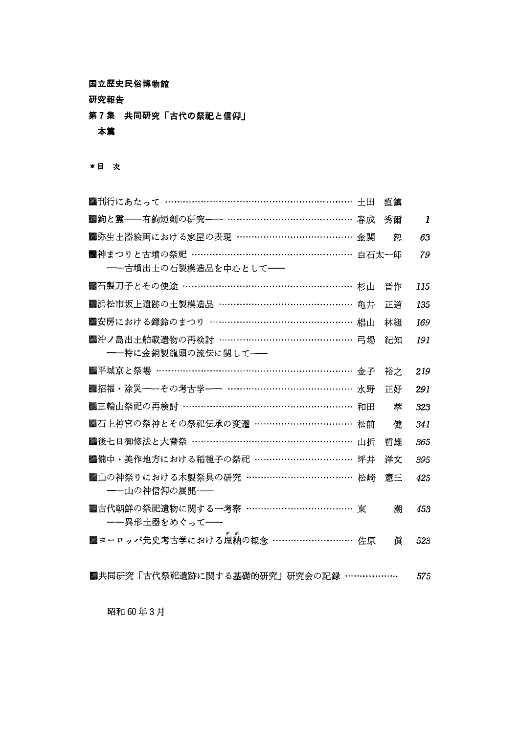国立歴史民俗博物館

研究報告

第7集 共同研究「古代の祭祀と信仰」

本篇

\*目 次

| ■刊行にあたって …………………………………………………………… 土田      |    | 直鎮 |     |
|------------------------------------------|----|----|-----|
| ■鉤と霊──有鉤短剣の研究── ………………………………… 春成         |    | 秀爾 | 1   |
| ■弥生土器絵画における家屋の表現 …………………………………           | 金関 | 恕  | 63  |
| ■神まつりと古墳の祭祀 ……………………………………………… 白石太一郎     |    |    | 79  |
| --古墳出土の石製模造品を中心として--                     |    |    |     |
| ▓石製刀子とその使途 ……………………………………………… 杉山         |    | 晋作 | 115 |
| ■ 浜松市坂上遺跡の土製模造品 ……………………………………… 亀井       |    | 正道 | 135 |
| ■安房における鐸鈴のまつり ………………………………………… 椙山        |    | 林繼 | 169 |
| <b>▓沖ノ島出土舶載遺物の再検討 ……………………………………… 弓場</b> |    | 紀知 | 191 |
| ――特に金銅製龍頭の流伝に関して――                       |    |    |     |
| ■平城京と祭場 ……………………………………………………… 金子         |    | 裕之 | 219 |
| ■ 招福・除災──その考古学── ………………………………… 水野        |    | 正好 | 291 |
| ■三輪山祭祀の再検討 ……………………………………………… 和田         |    | 萃  | 323 |
| ■石上神宮の祭神とその祭祀伝承の変遷 ……………………………           | 松前 | 健  | 341 |
| ■後七日御修法と大嘗祭 ……………………………………………… 山折        |    | 哲雄 | 365 |
| ■備中・美作地方における稲種子の祭祀 …………………………… 坪井        |    | 洋文 | 395 |
| ■幽山の神祭りにおける木製祭具の研究 ……………………………… 松崎       |    | 憲三 | 425 |
| ――山の神信仰の展開――                             |    |    |     |
| ■古代朝鮮の祭祀遺物に関する一考察 ………………………………           | 東  | 潮  | 453 |
| ――異形土器をめぐって――                            |    |    |     |
| ■ ヨーロッパ先史考古学における埋納の概念 ……………………… 佐原       |    | 眞  | 523 |
|                                          |    |    |     |
| ■共同研究「古代祭祀遺跡に関する基礎的研究」研究会の記録 ………………      |    |    | 575 |

昭和60年3月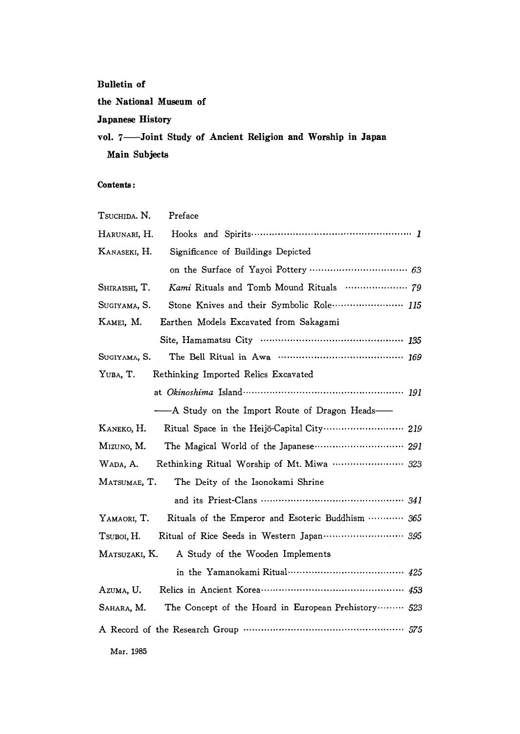#### **Bulletin of**

the National Museum of

#### **Japanese History**

vol. 7-Joint Study of Ancient Religion and Worship in Japan Main Subjects

#### Contents:

| TSUCHIDA. N.<br>Preface                                               |
|-----------------------------------------------------------------------|
| Harunari, H.                                                          |
| KANASEKI, H.<br>Significance of Buildings Depicted                    |
|                                                                       |
| Kami Rituals and Tomb Mound Rituals  79<br>SHIRAISHI, T.              |
| Stone Knives and their Symbolic Role  115<br>Sugiyama, S.             |
| Earthen Models Excavated from Sakagami<br>KAMEI, M.                   |
|                                                                       |
| SUGIYAMA, S.                                                          |
| Rethinking Imported Relics Excavated<br>YUBA, T.                      |
|                                                                       |
| -- A Study on the Import Route of Dragon Heads-                       |
| Ritual Space in the Heijō-Capital City  219<br>KANEKO, H.             |
| The Magical World of the Japanese  291<br>MIZUNO, M.                  |
| Rethinking Ritual Worship of Mt. Miwa  323<br>WADA, A.                |
| MATSUMAE, T.<br>The Deity of the Isonokami Shrine                     |
|                                                                       |
| Rituals of the Emperor and Esoteric Buddhism  365<br>YAMAORI, T.      |
| Ritual of Rice Seeds in Western Japan  395<br>T <sub>SUBOI</sub> , H. |
| A Study of the Wooden Implements<br>Matsuzaki, K.                     |
|                                                                       |
| Azuma, U.                                                             |
| The Concept of the Hoard in European Prehistory  523<br>Sahara, M.    |
|                                                                       |
| Mar. 1985                                                             |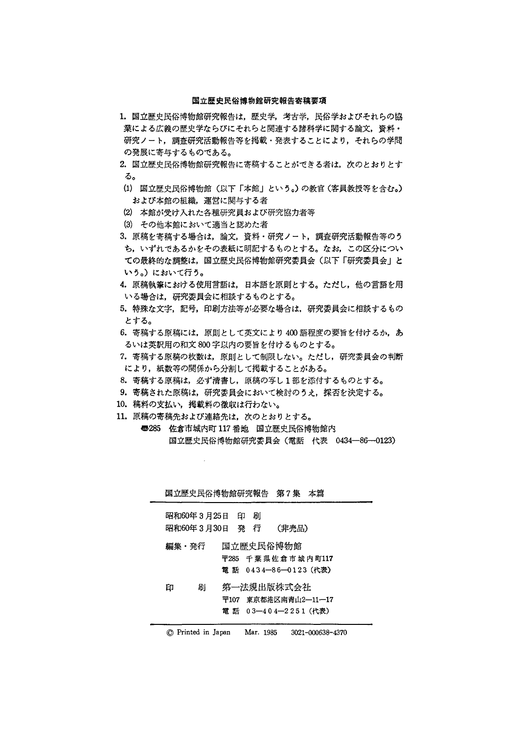#### 国立歴史民俗博物館研究報告寄稿要項

- 1. 国立歴史民俗博物館研究報告は、歴史学,考古学,民俗学およびそれらの協 業による広義の歴史学ならびにそれらと関連する諸科学に関する論文,資料・ 研究ノート,調査研究活動報告等を掲載・発表することにより,それらの学問 の発展に寄与するものである。
- 2.国立歴史民俗博物館研究報告に寄稿することができる者は,次のとおりとす る。
- (1)国立歴史民俗博物館(以下「本館」という。)の教官(客員教授等を含む。) および本館の組織,運営に関与する者
- (2)本館が受け入れた各種研究員および研究協力者等
- (3)その他本館において適当と認めた者
- 3.原稿を寄稿する場合は,論文,資料・研究ノート,調査研究活動報告等のう ち,いずれであるかをその表紙に明記するものとする。なお,この区分につい ての最終的な調整は,国立歴史民俗博物館研究委員会(以下「研究委員会」と いう。)において行う。
- 4. 原稿執筆における使用言語は、日本語を原則とする。ただし、他の言語を用 いる場合は,研究委員会に相談するものとする。
- 5.特殊な文字,記号,印刷方法等が必要な場合は,研究委員会に相談するもの とする。
- 6. 寄稿する原稿には、原則として英文により400語程度の要旨を付けるか、あ るいは英訳用の和文800字以内の要旨を付けるものとする。
- 7.寄稿する原稿の枚数は,原則として制限しない。ただし,研究委員会の判断 により,紙数等の関係から分割して掲載することがある。
- 8.寄稿する原稿は,必ず清書し,原稿の写し1部を添付するものとする。
- 9.寄稿された原稿は,研究委員会において検討のうえ,採否を決定する。
- 10.稿料の支払い,掲載料の徴収は行わない。
- 11.原稿の寄稿先および連絡先は,次のとおりとする。
	- ⑤285佐倉市城内町117番地 国立歴史民俗博物館内 国立歴史民俗博物館研究委員会(電話 代表 0434-86-0123)

|                                |   |   | 国立歴史民俗博物館研究報告 第7集 本篇                                      |  |
|--------------------------------|---|---|-----------------------------------------------------------|--|
| 昭和60年3月25日 印<br>昭和60年3月30日 発 行 |   | 刷 | (非売品)                                                     |  |
| 編集・発行                          |   |   | 国立歴史民俗博物館<br>〒285 千葉県佐倉市城内町117<br>羀 話 0434—86—0123(代表)    |  |
| 印                              | 刷 |   | 第一法規出版株式会社<br>〒107 東京都港区南青山2―11―17<br>雷 話 03―404―2251(代表) |  |

◎Printed in Japan Mar.1985 3021-000638-4370